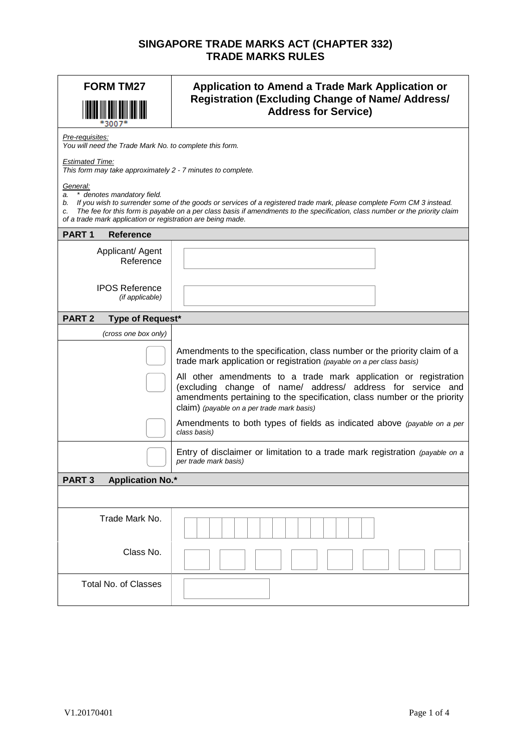## **SINGAPORE TRADE MARKS ACT (CHAPTER 332) TRADE MARKS RULES**

| <b>FORM TM27</b>                                                                                                                                                                                                                                                                                                                                                              | Application to Amend a Trade Mark Application or<br><b>Registration (Excluding Change of Name/ Address/</b><br><b>Address for Service)</b>                                                                                                                                                                                                                                                                     |  |
|-------------------------------------------------------------------------------------------------------------------------------------------------------------------------------------------------------------------------------------------------------------------------------------------------------------------------------------------------------------------------------|----------------------------------------------------------------------------------------------------------------------------------------------------------------------------------------------------------------------------------------------------------------------------------------------------------------------------------------------------------------------------------------------------------------|--|
| Pre-requisites:<br>You will need the Trade Mark No. to complete this form.                                                                                                                                                                                                                                                                                                    |                                                                                                                                                                                                                                                                                                                                                                                                                |  |
| <b>Estimated Time:</b><br>This form may take approximately 2 - 7 minutes to complete.                                                                                                                                                                                                                                                                                         |                                                                                                                                                                                                                                                                                                                                                                                                                |  |
| General:<br>* denotes mandatory field.<br>a.<br>b. If you wish to surrender some of the goods or services of a registered trade mark, please complete Form CM 3 instead.<br>The fee for this form is payable on a per class basis if amendments to the specification, class number or the priority claim<br>c.<br>of a trade mark application or registration are being made. |                                                                                                                                                                                                                                                                                                                                                                                                                |  |
| PART <sub>1</sub><br><b>Reference</b>                                                                                                                                                                                                                                                                                                                                         |                                                                                                                                                                                                                                                                                                                                                                                                                |  |
| Applicant/ Agent<br>Reference                                                                                                                                                                                                                                                                                                                                                 |                                                                                                                                                                                                                                                                                                                                                                                                                |  |
| <b>IPOS Reference</b><br>(if applicable)                                                                                                                                                                                                                                                                                                                                      |                                                                                                                                                                                                                                                                                                                                                                                                                |  |
| <b>PART 2</b><br>Type of Request*                                                                                                                                                                                                                                                                                                                                             |                                                                                                                                                                                                                                                                                                                                                                                                                |  |
| (cross one box only)                                                                                                                                                                                                                                                                                                                                                          |                                                                                                                                                                                                                                                                                                                                                                                                                |  |
|                                                                                                                                                                                                                                                                                                                                                                               | Amendments to the specification, class number or the priority claim of a<br>trade mark application or registration (payable on a per class basis)<br>All other amendments to a trade mark application or registration<br>(excluding change of name/ address/ address for service and<br>amendments pertaining to the specification, class number or the priority<br>claim) (payable on a per trade mark basis) |  |
|                                                                                                                                                                                                                                                                                                                                                                               | Amendments to both types of fields as indicated above (payable on a per<br>class basis)                                                                                                                                                                                                                                                                                                                        |  |
|                                                                                                                                                                                                                                                                                                                                                                               | Entry of disclaimer or limitation to a trade mark registration (payable on a<br>per trade mark basis)                                                                                                                                                                                                                                                                                                          |  |
| <b>Application No.*</b><br>PART <sub>3</sub>                                                                                                                                                                                                                                                                                                                                  |                                                                                                                                                                                                                                                                                                                                                                                                                |  |
|                                                                                                                                                                                                                                                                                                                                                                               |                                                                                                                                                                                                                                                                                                                                                                                                                |  |
| Trade Mark No.                                                                                                                                                                                                                                                                                                                                                                |                                                                                                                                                                                                                                                                                                                                                                                                                |  |
| Class No.                                                                                                                                                                                                                                                                                                                                                                     |                                                                                                                                                                                                                                                                                                                                                                                                                |  |
| <b>Total No. of Classes</b>                                                                                                                                                                                                                                                                                                                                                   |                                                                                                                                                                                                                                                                                                                                                                                                                |  |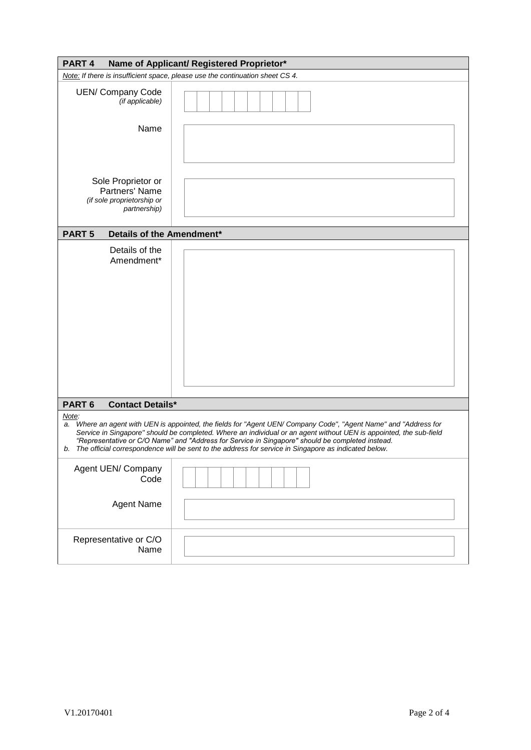| PART <sub>4</sub><br>Name of Applicant/ Registered Proprietor*                                                                                                                                                                                                                                                                                                                                                                                                    |                                                                               |  |
|-------------------------------------------------------------------------------------------------------------------------------------------------------------------------------------------------------------------------------------------------------------------------------------------------------------------------------------------------------------------------------------------------------------------------------------------------------------------|-------------------------------------------------------------------------------|--|
|                                                                                                                                                                                                                                                                                                                                                                                                                                                                   | Note: If there is insufficient space, please use the continuation sheet CS 4. |  |
| <b>UEN/ Company Code</b><br>(if applicable)                                                                                                                                                                                                                                                                                                                                                                                                                       |                                                                               |  |
| Name                                                                                                                                                                                                                                                                                                                                                                                                                                                              |                                                                               |  |
| Sole Proprietor or<br>Partners' Name<br>(if sole proprietorship or<br>partnership)                                                                                                                                                                                                                                                                                                                                                                                |                                                                               |  |
| <b>PART 5</b><br>Details of the Amendment*                                                                                                                                                                                                                                                                                                                                                                                                                        |                                                                               |  |
| Details of the<br>Amendment*                                                                                                                                                                                                                                                                                                                                                                                                                                      |                                                                               |  |
| PART <sub>6</sub><br><b>Contact Details*</b>                                                                                                                                                                                                                                                                                                                                                                                                                      |                                                                               |  |
| Note:<br>Where an agent with UEN is appointed, the fields for "Agent UEN/ Company Code", "Agent Name" and "Address for<br>a.<br>Service in Singapore" should be completed. Where an individual or an agent without UEN is appointed, the sub-field<br>"Representative or C/O Name" and "Address for Service in Singapore" should be completed instead.<br>b. The official correspondence will be sent to the address for service in Singapore as indicated below. |                                                                               |  |
| Agent UEN/ Company<br>Code                                                                                                                                                                                                                                                                                                                                                                                                                                        |                                                                               |  |
| Agent Name                                                                                                                                                                                                                                                                                                                                                                                                                                                        |                                                                               |  |
| Representative or C/O<br>Name                                                                                                                                                                                                                                                                                                                                                                                                                                     |                                                                               |  |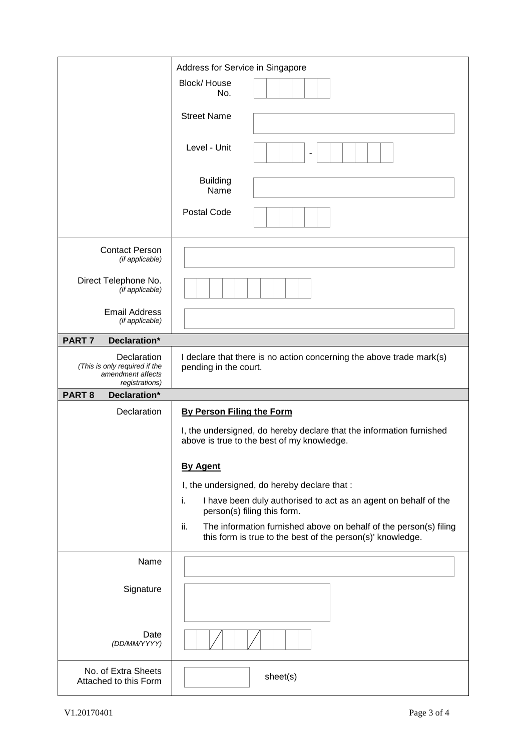|                                                                                     | Address for Service in Singapore                                                                                                       |
|-------------------------------------------------------------------------------------|----------------------------------------------------------------------------------------------------------------------------------------|
|                                                                                     | Block/House<br>No.                                                                                                                     |
|                                                                                     | <b>Street Name</b>                                                                                                                     |
|                                                                                     | Level - Unit                                                                                                                           |
|                                                                                     | <b>Building</b><br>Name                                                                                                                |
|                                                                                     | Postal Code                                                                                                                            |
| <b>Contact Person</b><br>(if applicable)                                            |                                                                                                                                        |
| Direct Telephone No.<br>(if applicable)                                             |                                                                                                                                        |
| <b>Email Address</b><br>(if applicable)                                             |                                                                                                                                        |
| PART <sub>7</sub><br>Declaration*                                                   |                                                                                                                                        |
| Declaration<br>(This is only required if the<br>amendment affects<br>registrations) | I declare that there is no action concerning the above trade mark(s)<br>pending in the court.                                          |
| <b>PART 8</b><br>Declaration*                                                       |                                                                                                                                        |
|                                                                                     |                                                                                                                                        |
| Declaration                                                                         | <b>By Person Filing the Form</b>                                                                                                       |
|                                                                                     | I, the undersigned, do hereby declare that the information furnished<br>above is true to the best of my knowledge.                     |
|                                                                                     | <b>By Agent</b>                                                                                                                        |
|                                                                                     | I, the undersigned, do hereby declare that :                                                                                           |
|                                                                                     | i.<br>I have been duly authorised to act as an agent on behalf of the<br>person(s) filing this form.                                   |
|                                                                                     | ii.<br>The information furnished above on behalf of the person(s) filing<br>this form is true to the best of the person(s)' knowledge. |
| Name                                                                                |                                                                                                                                        |
| Signature                                                                           |                                                                                                                                        |
| Date<br>(DD/MM/YYYY)                                                                |                                                                                                                                        |